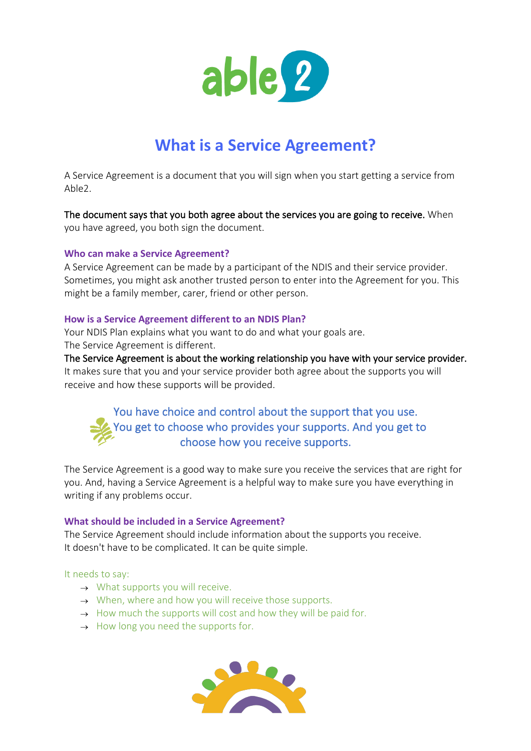

# **What is a Service Agreement?**

A Service Agreement is a document that you will sign when you start getting a service from Able2.

The document says that you both agree about the services you are going to receive. When you have agreed, you both sign the document.

#### **Who can make a Service Agreement?**

A Service Agreement can be made by a participant of the NDIS and their service provider. Sometimes, you might ask another trusted person to enter into the Agreement for you. This might be a family member, carer, friend or other person.

## **How is a Service Agreement different to an NDIS Plan?**

Your NDIS Plan explains what you want to do and what your goals are. The Service Agreement is different.

The Service Agreement is about the working relationship you have with your service provider. It makes sure that you and your service provider both agree about the supports you will receive and how these supports will be provided.

# You have choice and control about the support that you use. You get to choose who provides your supports. And you get to choose how you receive supports.

The Service Agreement is a good way to make sure you receive the services that are right for you. And, having a Service Agreement is a helpful way to make sure you have everything in writing if any problems occur.

#### **What should be included in a Service Agreement?**

The Service Agreement should include information about the supports you receive. It doesn't have to be complicated. It can be quite simple.

#### It needs to say:

- $\rightarrow$  What supports you will receive.
- $\rightarrow$  When, where and how you will receive those supports.
- $\rightarrow$  How much the supports will cost and how they will be paid for.
- $\rightarrow$  How long you need the supports for.

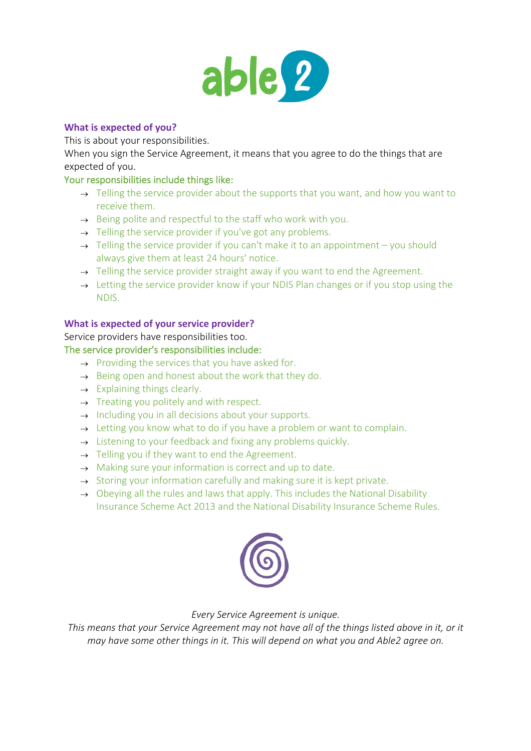

# **What is expected of you?**

This is about your responsibilities.

When you sign the Service Agreement, it means that you agree to do the things that are expected of you.

# Your responsibilities include things like:

- $\rightarrow$  Telling the service provider about the supports that you want, and how you want to receive them.
- $\rightarrow$  Being polite and respectful to the staff who work with you.
- $\rightarrow$  Telling the service provider if you've got any problems.
- $\rightarrow$  Telling the service provider if you can't make it to an appointment you should always give them at least 24 hours' notice.
- $\rightarrow$  Telling the service provider straight away if you want to end the Agreement.
- $\rightarrow$  Letting the service provider know if your NDIS Plan changes or if you stop using the NDIS.

## **What is expected of your service provider?**

Service providers have responsibilities too.

#### The service provider's responsibilities include:

- $\rightarrow$  Providing the services that you have asked for.
- $\rightarrow$  Being open and honest about the work that they do.
- $\rightarrow$  Explaining things clearly.
- $\rightarrow$  Treating you politely and with respect.
- $\rightarrow$  Including you in all decisions about your supports.
- $\rightarrow$  Letting you know what to do if you have a problem or want to complain.
- $\rightarrow$  Listening to your feedback and fixing any problems quickly.
- $\rightarrow$  Telling you if they want to end the Agreement.
- $\rightarrow$  Making sure your information is correct and up to date.
- $\rightarrow$  Storing your information carefully and making sure it is kept private.
- $\rightarrow$  Obeying all the rules and laws that apply. This includes the National Disability Insurance Scheme Act 2013 and the National Disability Insurance Scheme Rules.



# *Every Service Agreement is unique.*

*This means that your Service Agreement may not have all of the things listed above in it, or it may have some other things in it. This will depend on what you and Able2 agree on.*